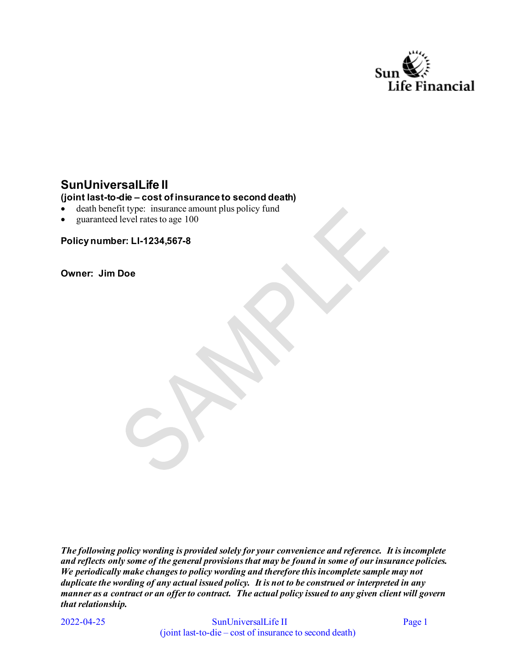

# **SunUniversalLife II**

#### **(joint last-to-die – cost of insurance to second death)**

- death benefit type: insurance amount plus policy fund
- guaranteed level rates to age 100

**Policy number: LI-1234,567-8** 

**Owner: Jim Doe** 

*The following policy wording is provided solely for your convenience and reference. It is incomplete and reflects only some of the general provisions that may be found in some of our insurance policies. We periodically make changes to policy wording and therefore this incomplete sample may not duplicate the wording of any actual issued policy. It is not to be construed or interpreted in any manner as a contract or an offer to contract. The actual policy issued to any given client will govern that relationship.* 

2022-04-25

SunUniversalLife II Page 1 (joint last-to-die – cost of insurance to second death)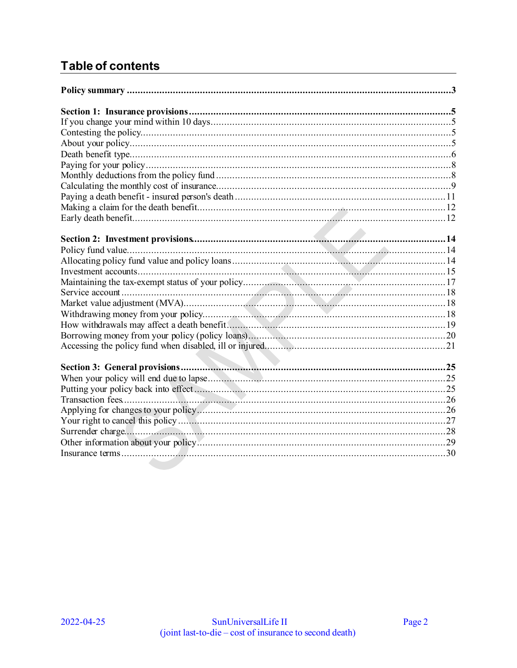# **Table of contents**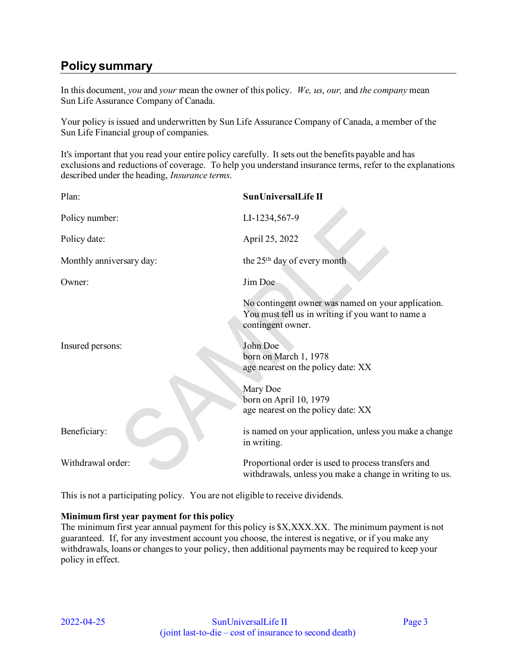# <span id="page-2-0"></span>**Policy summary**

In this document, *you* and *your* mean the owner of this policy. *We, us*, *our,* and *the company* mean Sun Life Assurance Company of Canada.

Your policy is issued and underwritten by Sun Life Assurance Company of Canada, a member of the Sun Life Financial group of companies.

It's important that you read your entire policy carefully. It sets out the benefits payable and has exclusions and reductions of coverage. To help you understand insurance terms, refer to the explanations described under the heading, *Insurance terms*.

| Plan:                    | SunUniversalLife II                                                                                                          |
|--------------------------|------------------------------------------------------------------------------------------------------------------------------|
| Policy number:           | LI-1234,567-9                                                                                                                |
| Policy date:             | April 25, 2022                                                                                                               |
| Monthly anniversary day: | the 25 <sup>th</sup> day of every month                                                                                      |
| Owner:                   | Jim Doe                                                                                                                      |
|                          | No contingent owner was named on your application.<br>You must tell us in writing if you want to name a<br>contingent owner. |
| Insured persons:         | John Doe<br>born on March 1, 1978<br>age nearest on the policy date: XX                                                      |
|                          | Mary Doe<br>born on April 10, 1979<br>age nearest on the policy date: XX                                                     |
| Beneficiary:             | is named on your application, unless you make a change<br>in writing.                                                        |
| Withdrawal order:        | Proportional order is used to process transfers and<br>withdrawals, unless you make a change in writing to us.               |

This is not a participating policy. You are not eligible to receive dividends.

#### **Minimum first year payment for this policy**

The minimum first year annual payment for this policy is  $X, XXX, XX$ . The minimum payment is not guaranteed. If, for any investment account you choose, the interest is negative, or if you make any withdrawals, loans or changes to your policy, then additional payments may be required to keep your policy in effect.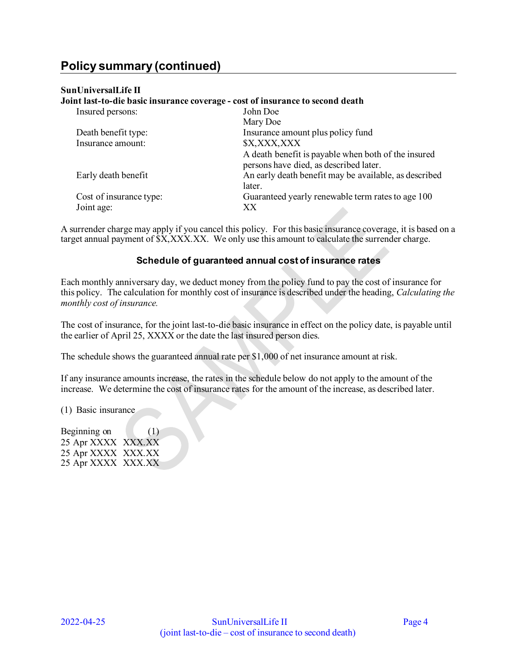#### **SunUniversalLife II**

### **Joint last-to-die basic insurance coverage - cost of insurance to second death**  Insured persons: John Doe Mary Doe Death benefit type: Insurance amount plus policy fund Insurance amount:  $$X, XXX, XXX$ A death benefit is payable when both of the insured persons have died, as described later. Early death benefit **An** early death benefit may be available, as described later. Cost of insurance type: Guaranteed yearly renewable term rates to age 100 Joint age: XX

A surrender charge may apply if you cancel this policy. For this basic insurance coverage, it is based on a target annual payment of  $\overline{SX, XXX. XX}$ . We only use this amount to calculate the surrender charge.

### **Schedule of guaranteed annual cost of insurance rates**

Each monthly anniversary day, we deduct money from the policy fund to pay the cost of insurance for this policy. The calculation for monthly cost of insurance is described under the heading, *Calculating the monthly cost of insurance.* 

The cost of insurance, for the joint last-to-die basic insurance in effect on the policy date, is payable until the earlier of April 25, XXXX or the date the last insured person dies.

The schedule shows the guaranteed annual rate per \$1,000 of net insurance amount at risk.

If any insurance amounts increase, the rates in the schedule below do not apply to the amount of the increase. We determine the cost of insurance rates for the amount of the increase, as described later.

(1) Basic insurance

Beginning on (1) 25 Apr XXXX XXX.XX 25 Apr XXXX XXX.XX 25 Apr XXXX XXX.XX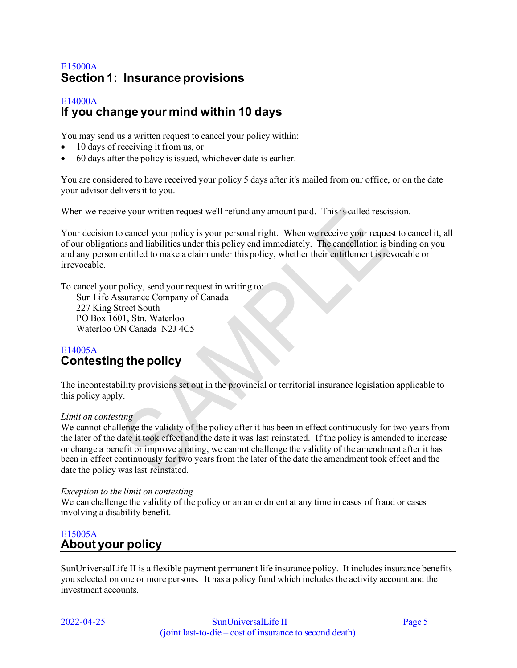# <span id="page-4-0"></span>E15000A **Section 1: Insurance provisions**

#### <span id="page-4-1"></span>E14000A **If you change your mind within 10 days**

You may send us a written request to cancel your policy within:

- 10 days of receiving it from us, or
- 60 days after the policy is issued, whichever date is earlier.

You are considered to have received your policy 5 days after it's mailed from our office, or on the date your advisor delivers it to you.

When we receive your written request we'll refund any amount paid. This is called rescission.

Your decision to cancel your policy is your personal right. When we receive your request to cancel it, all of our obligations and liabilities under this policy end immediately. The cancellation is binding on you and any person entitled to make a claim under this policy, whether their entitlement is revocable or irrevocable.

To cancel your policy, send your request in writing to:

Sun Life Assurance Company of Canada 227 King Street South PO Box 1601, Stn. Waterloo Waterloo ON Canada N2J 4C5

### <span id="page-4-2"></span>E14005A **Contesting the policy**

The incontestability provisions set out in the provincial or territorial insurance legislation applicable to this policy apply.

#### *Limit on contesting*

We cannot challenge the validity of the policy after it has been in effect continuously for two years from the later of the date it took effect and the date it was last reinstated. If the policy is amended to increase or change a benefit or improve a rating, we cannot challenge the validity of the amendment after it has been in effect continuously for two years from the later of the date the amendment took effect and the date the policy was last reinstated.

#### *Exception to the limit on contesting*

We can challenge the validity of the policy or an amendment at any time in cases of fraud or cases involving a disability benefit.

# <span id="page-4-3"></span>E15005A **About your policy**

SunUniversalLife II is a flexible payment permanent life insurance policy. It includes insurance benefits you selected on one or more persons. It has a policy fund which includes the activity account and the investment accounts.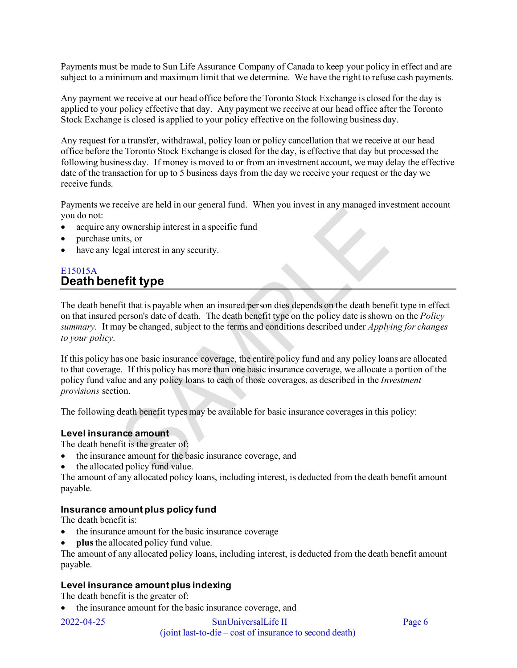Payments must be made to Sun Life Assurance Company of Canada to keep your policy in effect and are subject to a minimum and maximum limit that we determine. We have the right to refuse cash payments.

Any payment we receive at our head office before the Toronto Stock Exchange is closed for the day is applied to your policy effective that day. Any payment we receive at our head office after the Toronto Stock Exchange is closed is applied to your policy effective on the following business day.

Any request for a transfer, withdrawal, policy loan or policy cancellation that we receive at our head office before the Toronto Stock Exchange is closed for the day, is effective that day but processed the following business day. If money is moved to or from an investment account, we may delay the effective date of the transaction for up to 5 business days from the day we receive your request or the day we receive funds.

Payments we receive are held in our general fund. When you invest in any managed investment account you do not:

- acquire any ownership interest in a specific fund
- purchase units, or
- have any legal interest in any security.

# <span id="page-5-0"></span>E15015A **Death benefit type**

The death benefit that is payable when an insured person dies depends on the death benefit type in effect on that insured person's date of death. The death benefit type on the policy date is shown on the *Policy summary*. It may be changed, subject to the terms and conditions described under *Applying for changes to your policy*.

If this policy has one basic insurance coverage, the entire policy fund and any policy loans are allocated to that coverage. If this policy has more than one basic insurance coverage, we allocate a portion of the policy fund value and any policy loans to each of those coverages, as described in the *Investment provisions* section.

The following death benefit types may be available for basic insurance coverages in this policy:

#### **Level insurance amount**

The death benefit is the greater of:

- the insurance amount for the basic insurance coverage, and
- the allocated policy fund value.

The amount of any allocated policy loans, including interest, is deducted from the death benefit amount payable.

#### **Insurance amount plus policy fund**

The death benefit is:

- the insurance amount for the basic insurance coverage
- **plus** the allocated policy fund value.

The amount of any allocated policy loans, including interest, is deducted from the death benefit amount payable.

#### **Level insurance amount plus indexing**

The death benefit is the greater of:

• the insurance amount for the basic insurance coverage, and

2022-04-25 SunUniversalLife II Page 6 (joint last-to-die – cost of insurance to second death)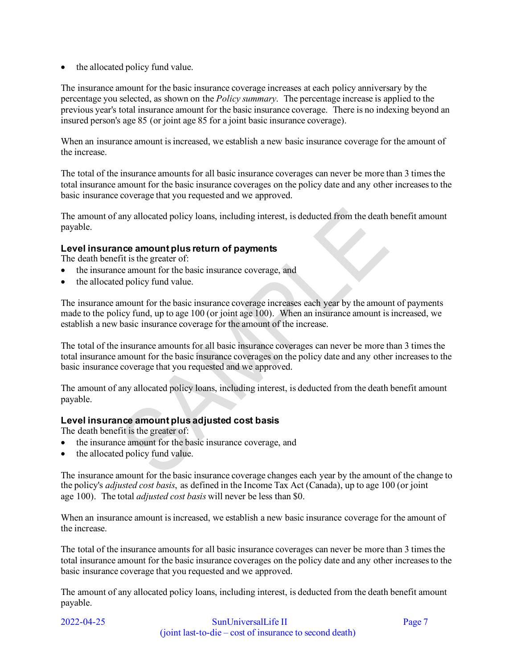• the allocated policy fund value.

The insurance amount for the basic insurance coverage increases at each policy anniversary by the percentage you selected, as shown on the *Policy summary*. The percentage increase is applied to the previous year's total insurance amount for the basic insurance coverage. There is no indexing beyond an insured person's age 85 (or joint age 85 for a joint basic insurance coverage).

When an insurance amount is increased, we establish a new basic insurance coverage for the amount of the increase.

The total of the insurance amounts for all basic insurance coverages can never be more than 3 times the total insurance amount for the basic insurance coverages on the policy date and any other increases to the basic insurance coverage that you requested and we approved.

The amount of any allocated policy loans, including interest, is deducted from the death benefit amount payable.

#### **Level insurance amount plus return of payments**

The death benefit is the greater of:

- the insurance amount for the basic insurance coverage, and
- the allocated policy fund value.

The insurance amount for the basic insurance coverage increases each year by the amount of payments made to the policy fund, up to age 100 (or joint age 100). When an insurance amount is increased, we establish a new basic insurance coverage for the amount of the increase.

The total of the insurance amounts for all basic insurance coverages can never be more than 3 times the total insurance amount for the basic insurance coverages on the policy date and any other increases to the basic insurance coverage that you requested and we approved.

The amount of any allocated policy loans, including interest, is deducted from the death benefit amount payable.

#### **Level insurance amount plus adjusted cost basis**

The death benefit is the greater of:

- the insurance amount for the basic insurance coverage, and
- the allocated policy fund value.

The insurance amount for the basic insurance coverage changes each year by the amount of the change to the policy's *adjusted cost basis*, as defined in the Income Tax Act (Canada), up to age 100 (or joint age 100). The total *adjusted cost basis* will never be less than \$0.

When an insurance amount is increased, we establish a new basic insurance coverage for the amount of the increase.

The total of the insurance amounts for all basic insurance coverages can never be more than 3 times the total insurance amount for the basic insurance coverages on the policy date and any other increases to the basic insurance coverage that you requested and we approved.

The amount of any allocated policy loans, including interest, is deducted from the death benefit amount payable.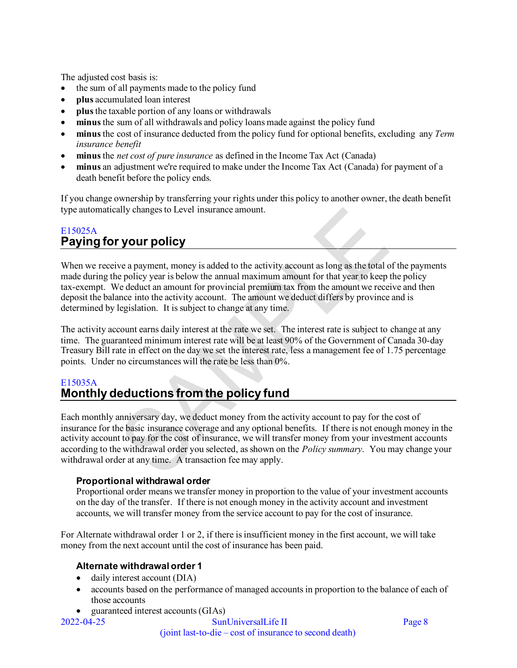The adjusted cost basis is:

- the sum of all payments made to the policy fund
- **plus** accumulated loan interest
- **plus** the taxable portion of any loans or withdrawals
- **minus** the sum of all withdrawals and policy loans made against the policy fund
- **minus** the cost of insurance deducted from the policy fund for optional benefits, excluding any *Term insurance benefit*
- **minus** the *net cost of pure insurance* as defined in the Income Tax Act (Canada)
- **minus** an adjustment we're required to make under the Income Tax Act (Canada) for payment of a death benefit before the policy ends.

If you change ownership by transferring your rights under this policy to another owner, the death benefit type automatically changes to Level insurance amount.

# <span id="page-7-0"></span>E15025A **Paying for your policy**

When we receive a payment, money is added to the activity account as long as the total of the payments made during the policy year is below the annual maximum amount for that year to keep the policy tax-exempt. We deduct an amount for provincial premium tax from the amount we receive and then deposit the balance into the activity account. The amount we deduct differs by province and is determined by legislation. It is subject to change at any time.

The activity account earns daily interest at the rate we set. The interest rate is subject to change at any time. The guaranteed minimum interest rate will be at least 90% of the Government of Canada 30-day Treasury Bill rate in effect on the day we set the interest rate, less a management fee of 1.75 percentage points. Under no circumstances will the rate be less than 0%.

### <span id="page-7-1"></span>E15035A **Monthly deductions from the policy fund**

Each monthly anniversary day, we deduct money from the activity account to pay for the cost of insurance for the basic insurance coverage and any optional benefits. If there is not enough money in the activity account to pay for the cost of insurance, we will transfer money from your investment accounts according to the withdrawal order you selected, as shown on the *Policy summary*. You may change your withdrawal order at any time. A transaction fee may apply.

### **Proportional withdrawal order**

Proportional order means we transfer money in proportion to the value of your investment accounts on the day of the transfer. If there is not enough money in the activity account and investment accounts, we will transfer money from the service account to pay for the cost of insurance.

For Alternate withdrawal order 1 or 2, if there is insufficient money in the first account, we will take money from the next account until the cost of insurance has been paid.

### **Alternate withdrawal order 1**

- daily interest account (DIA)
- accounts based on the performance of managed accounts in proportion to the balance of each of those accounts
- guaranteed interest accounts (GIAs)

2022-04-25 SunUniversalLife II Page 8 (joint last-to-die – cost of insurance to second death)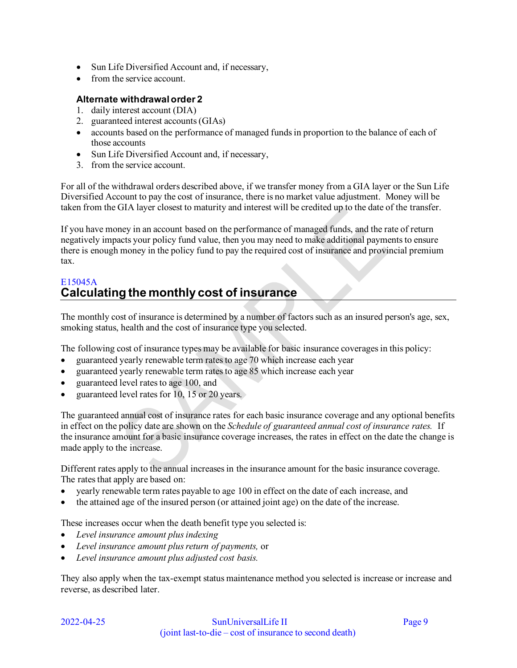- Sun Life Diversified Account and, if necessary,
- from the service account.

#### **Alternate withdrawal order 2**

- 1. daily interest account (DIA)
- 2. guaranteed interest accounts (GIAs)
- accounts based on the performance of managed funds in proportion to the balance of each of those accounts
- Sun Life Diversified Account and, if necessary,
- 3. from the service account.

For all of the withdrawal orders described above, if we transfer money from a GIA layer or the Sun Life Diversified Account to pay the cost of insurance, there is no market value adjustment. Money will be taken from the GIA layer closest to maturity and interest will be credited up to the date of the transfer.

If you have money in an account based on the performance of managed funds, and the rate of return negatively impacts your policy fund value, then you may need to make additional payments to ensure there is enough money in the policy fund to pay the required cost of insurance and provincial premium tax.

# <span id="page-8-0"></span>E15045A **Calculating the monthly cost of insurance**

The monthly cost of insurance is determined by a number of factors such as an insured person's age, sex, smoking status, health and the cost of insurance type you selected.

The following cost of insurance types may be available for basic insurance coverages in this policy:

- guaranteed yearly renewable term rates to age 70 which increase each year
- guaranteed yearly renewable term rates to age 85 which increase each year
- guaranteed level rates to age 100, and
- guaranteed level rates for 10, 15 or 20 years.

The guaranteed annual cost of insurance rates for each basic insurance coverage and any optional benefits in effect on the policy date are shown on the *Schedule of guaranteed annual cost of insurance rates.* If the insurance amount for a basic insurance coverage increases, the rates in effect on the date the change is made apply to the increase.

Different rates apply to the annual increases in the insurance amount for the basic insurance coverage. The rates that apply are based on:

- yearly renewable term rates payable to age 100 in effect on the date of each increase, and
- the attained age of the insured person (or attained joint age) on the date of the increase.

These increases occur when the death benefit type you selected is:

- *Level insurance amount plus indexing*
- *Level insurance amount plus return of payments,* or
- *Level insurance amount plus adjusted cost basis.*

They also apply when the tax-exempt status maintenance method you selected is increase or increase and reverse, as described later.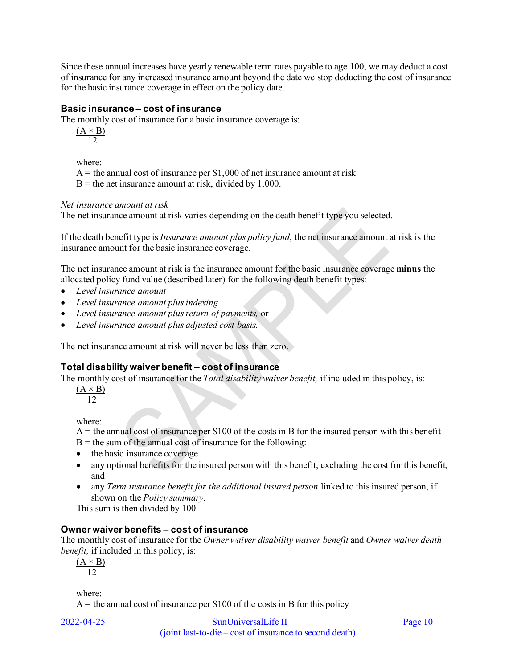Since these annual increases have yearly renewable term rates payable to age 100, we may deduct a cost of insurance for any increased insurance amount beyond the date we stop deducting the cost of insurance for the basic insurance coverage in effect on the policy date.

#### **Basic insurance – cost of insurance**

The monthly cost of insurance for a basic insurance coverage is:

 $(A \times B)$ 12

where:

 $A =$  the annual cost of insurance per \$1,000 of net insurance amount at risk

 $B =$  the net insurance amount at risk, divided by 1,000.

#### *Net insurance amount at risk*

The net insurance amount at risk varies depending on the death benefit type you selected.

If the death benefit type is *Insurance amount plus policy fund*, the net insurance amount at risk is the insurance amount for the basic insurance coverage.

The net insurance amount at risk is the insurance amount for the basic insurance coverage **minus** the allocated policy fund value (described later) for the following death benefit types:

- *Level insurance amount*
- *Level insurance amount plus indexing*
- *Level insurance amount plus return of payments,* or
- *Level insurance amount plus adjusted cost basis.*

The net insurance amount at risk will never be less than zero.

### **Total disability waiver benefit – cost of insurance**

The monthly cost of insurance for the *Total disability waiver benefit,* if included in this policy, is:

 $(A \times B)$ 12

where:

- $A =$  the annual cost of insurance per \$100 of the costs in B for the insured person with this benefit
- $B =$  the sum of the annual cost of insurance for the following:
- the basic insurance coverage
- any optional benefits for the insured person with this benefit, excluding the cost for this benefit*,*  and
- any *Term insurance benefit for the additional insured person* linked to this insured person, if shown on the *Policy summary*.

This sum is then divided by 100.

#### **Owner waiver benefits – cost of insurance**

The monthly cost of insurance for the *Owner waiver disability waiver benefit* and *Owner waiver death benefit,* if included in this policy, is:

 $(A \times B)$ 12

where:

 $A =$  the annual cost of insurance per \$100 of the costs in B for this policy

2022-04-25 SunUniversalLife II Page 10 (joint last-to-die – cost of insurance to second death)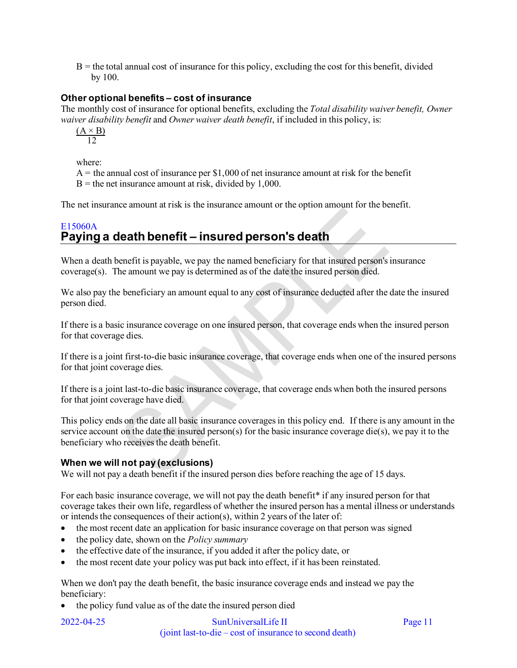$B =$  the total annual cost of insurance for this policy, excluding the cost for this benefit, divided by 100.

### **Other optional benefits – cost of insurance**

The monthly cost of insurance for optional benefits, excluding the *Total disability waiver benefit, Owner waiver disability benefit* and *Owner waiver death benefit*, if included in this policy, is:

 $(A \times B)$ 12

where:

 $A =$  the annual cost of insurance per \$1,000 of net insurance amount at risk for the benefit  $B =$  the net insurance amount at risk, divided by 1,000.

The net insurance amount at risk is the insurance amount or the option amount for the benefit.

# <span id="page-10-0"></span>E15060A **Paying a death benefit – insured person's death**

When a death benefit is payable, we pay the named beneficiary for that insured person's insurance coverage(s). The amount we pay is determined as of the date the insured person died.

We also pay the beneficiary an amount equal to any cost of insurance deducted after the date the insured person died.

If there is a basic insurance coverage on one insured person, that coverage ends when the insured person for that coverage dies.

If there is a joint first-to-die basic insurance coverage, that coverage ends when one of the insured persons for that joint coverage dies.

If there is a joint last-to-die basic insurance coverage, that coverage ends when both the insured persons for that joint coverage have died.

This policy ends on the date all basic insurance coverages in this policy end. If there is any amount in the service account on the date the insured person(s) for the basic insurance coverage die(s), we pay it to the beneficiary who receives the death benefit.

### **When we will not pay (exclusions)**

We will not pay a death benefit if the insured person dies before reaching the age of 15 days.

For each basic insurance coverage, we will not pay the death benefit\* if any insured person for that coverage takes their own life, regardless of whether the insured person has a mental illness or understands or intends the consequences of their action(s), within 2 years of the later of:

- the most recent date an application for basic insurance coverage on that person was signed
- the policy date, shown on the *Policy summary*
- the effective date of the insurance, if you added it after the policy date, or
- the most recent date your policy was put back into effect, if it has been reinstated.

When we don't pay the death benefit, the basic insurance coverage ends and instead we pay the beneficiary:

• the policy fund value as of the date the insured person died

2022-04-25 SunUniversalLife II Page 11 (joint last-to-die – cost of insurance to second death)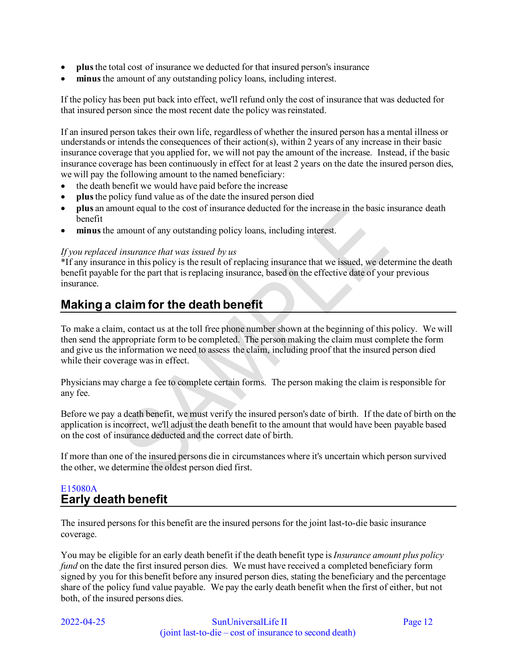- **plus** the total cost of insurance we deducted for that insured person's insurance
- **minus** the amount of any outstanding policy loans, including interest.

If the policy has been put back into effect, we'll refund only the cost of insurance that was deducted for that insured person since the most recent date the policy was reinstated.

If an insured person takes their own life, regardless of whether the insured person has a mental illness or understands or intends the consequences of their action(s), within 2 years of any increase in their basic insurance coverage that you applied for, we will not pay the amount of the increase. Instead, if the basic insurance coverage has been continuously in effect for at least 2 years on the date the insured person dies, we will pay the following amount to the named beneficiary:

- the death benefit we would have paid before the increase
- **plus** the policy fund value as of the date the insured person died
- **plus** an amount equal to the cost of insurance deducted for the increase in the basic insurance death benefit
- minus the amount of any outstanding policy loans, including interest.

#### *If you replaced insurance that was issued by us*

\*If any insurance in this policy is the result of replacing insurance that we issued, we determine the death benefit payable for the part that is replacing insurance, based on the effective date of your previous insurance.

# <span id="page-11-0"></span>**Making a claim for the death benefit**

To make a claim, contact us at the toll free phone number shown at the beginning of this policy. We will then send the appropriate form to be completed. The person making the claim must complete the form and give us the information we need to assess the claim, including proof that the insured person died while their coverage was in effect.

Physicians may charge a fee to complete certain forms. The person making the claim is responsible for any fee.

Before we pay a death benefit, we must verify the insured person's date of birth. If the date of birth on the application is incorrect, we'll adjust the death benefit to the amount that would have been payable based on the cost of insurance deducted and the correct date of birth.

If more than one of the insured persons die in circumstances where it 's uncertain which person survived the other, we determine the oldest person died first.

# <span id="page-11-1"></span>E15080A **Early death benefit**

The insured persons for this benefit are the insured persons for the joint last-to-die basic insurance coverage.

You may be eligible for an early death benefit if the death benefit type is *Insurance amount plus policy fund* on the date the first insured person dies. We must have received a completed beneficiary form signed by you for this benefit before any insured person dies, stating the beneficiary and the percentage share of the policy fund value payable. We pay the early death benefit when the first of either, but not both, of the insured persons dies.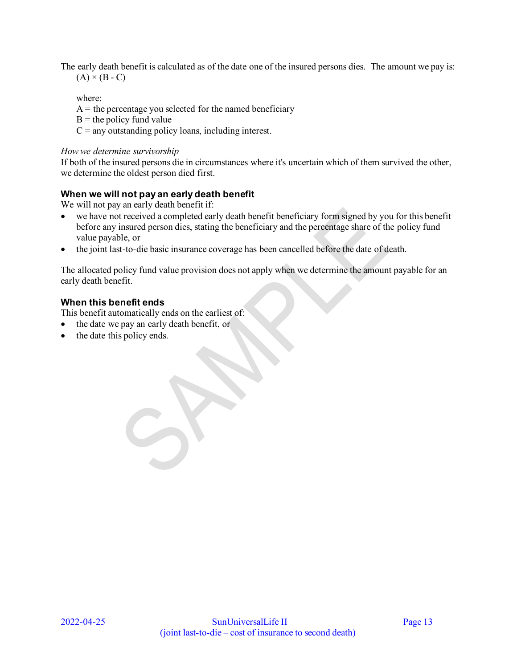The early death benefit is calculated as of the date one of the insured persons dies. The amount we pay is:  $(A) \times (B - C)$ 

where:

 $A =$  the percentage you selected for the named beneficiary

 $B =$  the policy fund value

 $C =$  any outstanding policy loans, including interest.

#### *How we determine survivorship*

If both of the insured persons die in circumstances where it's uncertain which of them survived the other, we determine the oldest person died first.

#### **When we will not pay an early death benefit**

We will not pay an early death benefit if:

- we have not received a completed early death benefit beneficiary form signed by you for this benefit before any insured person dies, stating the beneficiary and the percentage share of the policy fund value payable, or
- the joint last-to-die basic insurance coverage has been cancelled before the date of death.

The allocated policy fund value provision does not apply when we determine the amount payable for an early death benefit.

#### **When this benefit ends**

This benefit automatically ends on the earliest of:

- the date we pay an early death benefit, or
- the date this policy ends.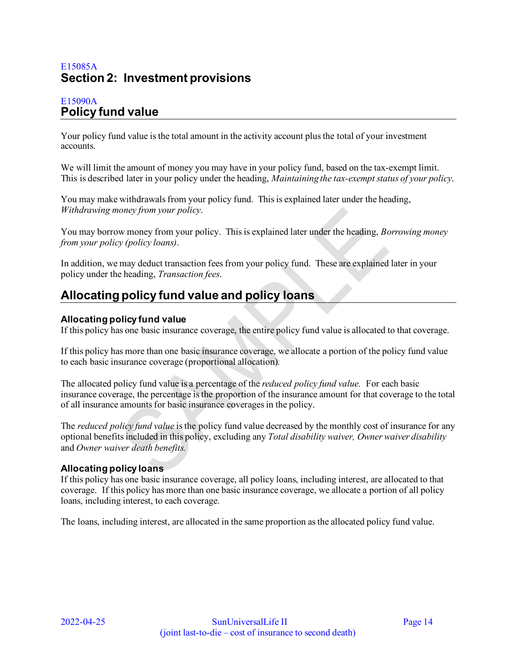# <span id="page-13-0"></span>E15085A **Section 2: Investment provisions**

# <span id="page-13-1"></span>E15090A **Policy fund value**

Your policy fund value is the total amount in the activity account plus the total of your investment accounts.

We will limit the amount of money you may have in your policy fund, based on the tax-exempt limit. This is described later in your policy under the heading, *Maintaining the tax-exempt status of your policy*.

You may make withdrawals from your policy fund. This is explained later under the heading, *Withdrawing money from your policy*.

You may borrow money from your policy. This is explained later under the heading, *Borrowing money from your policy (policy loans)*.

In addition, we may deduct transaction fees from your policy fund. These are explained later in your policy under the heading, *Transaction fees*.

# <span id="page-13-2"></span>**Allocating policy fund value and policy loans**

#### **Allocating policy fund value**

If this policy has one basic insurance coverage, the entire policy fund value is allocated to that coverage.

If this policy has more than one basic insurance coverage, we allocate a portion of the policy fund value to each basic insurance coverage (proportional allocation).

The allocated policy fund value is a percentage of the *reduced policy fund value.* For each basic insurance coverage, the percentage is the proportion of the insurance amount for that coverage to the total of all insurance amounts for basic insurance coverages in the policy.

The *reduced policy fund value* is the policy fund value decreased by the monthly cost of insurance for any optional benefits included in this policy, excluding any *Total disability waiver, Owner waiver disability*  and *Owner waiver death benefits.* 

### **Allocating policy loans**

If this policy has one basic insurance coverage, all policy loans, including interest, are allocated to that coverage. If this policy has more than one basic insurance coverage, we allocate a portion of all policy loans, including interest, to each coverage.

The loans, including interest, are allocated in the same proportion as the allocated policy fund value.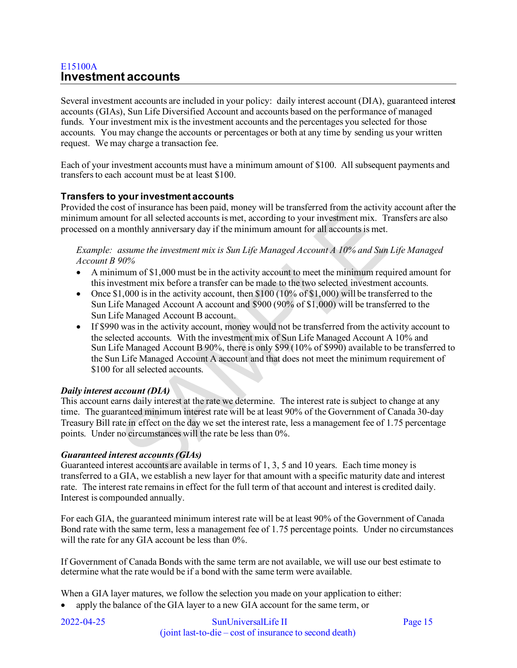# <span id="page-14-0"></span>E15100A **Investment accounts**

Several investment accounts are included in your policy: daily interest account (DIA), guaranteed interest accounts (GIAs), Sun Life Diversified Account and accounts based on the performance of managed funds. Your investment mix is the investment accounts and the percentages you selected for those accounts. You may change the accounts or percentages or both at any time by sending us your written request. We may charge a transaction fee.

Each of your investment accounts must have a minimum amount of \$100. All subsequent payments and transfers to each account must be at least \$100.

#### **Transfers to your investment accounts**

Provided the cost of insurance has been paid, money will be transferred from the activity account after the minimum amount for all selected accounts is met, according to your investment mix. Transfers are also processed on a monthly anniversary day if the minimum amount for all accounts is met.

*Example: assume the investment mix is Sun Life Managed Account A 10% and Sun Life Managed Account B 90%* 

- A minimum of \$1,000 must be in the activity account to meet the minimum required amount for this investment mix before a transfer can be made to the two selected investment accounts.
- Once  $$1,000$  is in the activity account, then  $$100 (10\% \text{ of } $1,000)$  will be transferred to the Sun Life Managed Account A account and \$900 (90% of \$1,000) will be transferred to the Sun Life Managed Account B account.
- If \$990 was in the activity account, money would not be transferred from the activity account to the selected accounts. With the investment mix of Sun Life Managed Account A 10% and Sun Life Managed Account B 90%, there is only \$99 (10% of \$990) available to be transferred to the Sun Life Managed Account A account and that does not meet the minimum requirement of \$100 for all selected accounts.

#### *Daily interest account (DIA)*

This account earns daily interest at the rate we determine. The interest rate is subject to change at any time. The guaranteed minimum interest rate will be at least 90% of the Government of Canada 30-day Treasury Bill rate in effect on the day we set the interest rate, less a management fee of 1.75 percentage points. Under no circumstances will the rate be less than 0%.

#### *Guaranteed interest accounts (GIAs)*

Guaranteed interest accounts are available in terms of 1, 3, 5 and 10 years. Each time money is transferred to a GIA, we establish a new layer for that amount with a specific maturity date and interest rate. The interest rate remains in effect for the full term of that account and interest is credited daily. Interest is compounded annually.

For each GIA, the guaranteed minimum interest rate will be at least 90% of the Government of Canada Bond rate with the same term, less a management fee of 1.75 percentage points. Under no circumstances will the rate for any GIA account be less than  $0\%$ .

If Government of Canada Bonds with the same term are not available, we will use our best estimate to determine what the rate would be if a bond with the same term were available.

When a GIA layer matures, we follow the selection you made on your application to either:

• apply the balance of the GIA layer to a new GIA account for the same term, or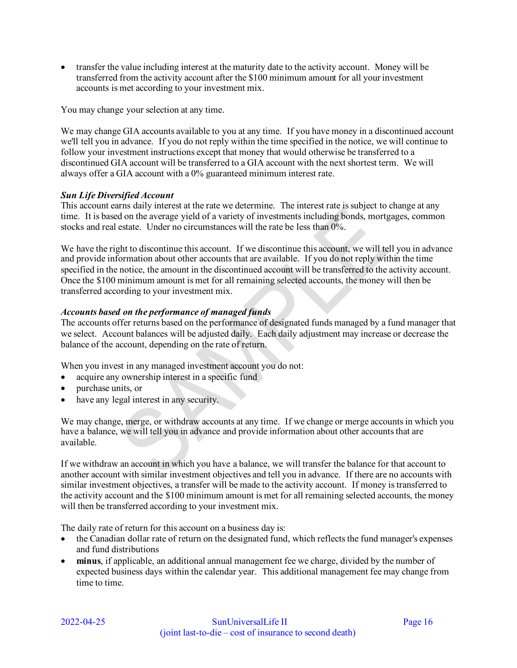• transfer the value including interest at the maturity date to the activity account. Money will be transferred from the activity account after the \$100 minimum amount for all your investment accounts is met according to your investment mix.

You may change your selection at any time.

We may change GIA accounts available to you at any time. If you have money in a discontinued account we'll tell you in advance. If you do not reply within the time specified in the notice, we will continue to follow your investment instructions except that money that would otherwise be transferred to a discontinued GIA account will be transferred to a GIA account with the next shortest term. We will always offer a GIA account with a 0% guaranteed minimum interest rate.

#### *Sun Life Diversified Account*

This account earns daily interest at the rate we determine. The interest rate is subject to change at any time. It is based on the average yield of a variety of investments including bonds, mortgages, common stocks and real estate. Under no circumstances will the rate be less than 0%.

We have the right to discontinue this account. If we discontinue this account, we will tell you in advance and provide information about other accounts that are available. If you do not reply within the time specified in the notice, the amount in the discontinued account will be transferred to the activity account. Once the \$100 minimum amount is met for all remaining selected accounts, the money will then be transferred according to your investment mix.

#### *Accounts based on the performance of managed funds*

The accounts offer returns based on the performance of designated funds managed by a fund manager that we select. Account balances will be adjusted daily. Each daily adjustment may increase or decrease the balance of the account, depending on the rate of return.

When you invest in any managed investment account you do not:

- acquire any ownership interest in a specific fund
- purchase units, or
- have any legal interest in any security.

We may change, merge, or withdraw accounts at any time. If we change or merge accounts in which you have a balance, we will tell you in advance and provide information about other accounts that are available.

If we withdraw an account in which you have a balance, we will transfer the balance for that account to another account with similar investment objectives and tell you in advance. If there are no accounts with similar investment objectives, a transfer will be made to the activity account. If money is transferred to the activity account and the \$100 minimum amount is met for all remaining selected accounts, the money will then be transferred according to your investment mix.

The daily rate of return for this account on a business day is:

- the Canadian dollar rate of return on the designated fund, which reflects the fund manager's expenses and fund distributions
- **minus**, if applicable, an additional annual management fee we charge, divided by the number of expected business days within the calendar year. This additional management fee may change from time to time.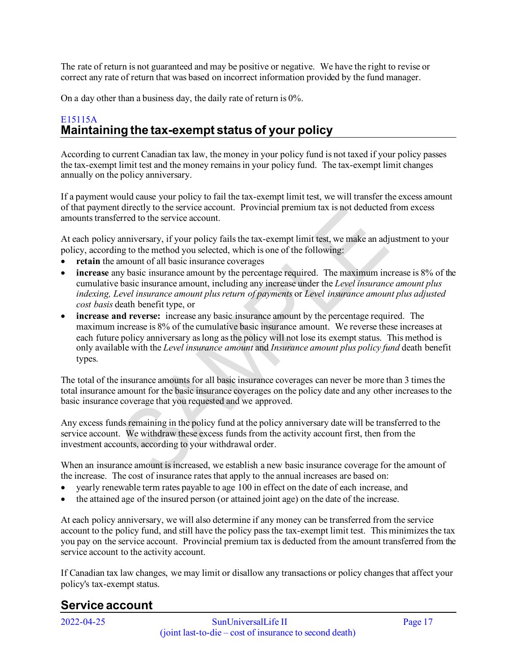The rate of return is not guaranteed and may be positive or negative. We have the right to revise or correct any rate of return that was based on incorrect information provided by the fund manager.

On a day other than a business day, the daily rate of return is 0%.

# <span id="page-16-0"></span>E15115A **Maintaining the tax-exempt status of your policy**

According to current Canadian tax law, the money in your policy fund is not taxed if your policy passes the tax-exempt limit test and the money remains in your policy fund. The tax-exempt limit changes annually on the policy anniversary.

If a payment would cause your policy to fail the tax-exempt limit test, we will transfer the excess amount of that payment directly to the service account. Provincial premium tax is not deducted from excess amounts transferred to the service account.

At each policy anniversary, if your policy fails the tax-exempt limit test, we make an adjustment to your policy, according to the method you selected, which is one of the following:

- retain the amount of all basic insurance coverages
- **increase** any basic insurance amount by the percentage required. The maximum increase is 8% of the cumulative basic insurance amount, including any increase under the *Level insurance amount plus indexing, Level insurance amount plus return of payments* or *Level insurance amount plus adjusted cost basis* death benefit type, or
- **increase and reverse:** increase any basic insurance amount by the percentage required. The maximum increase is 8% of the cumulative basic insurance amount. We reverse these increases at each future policy anniversary as long as the policy will not lose its exempt status. This method is only available with the *Level insurance amount* and *Insurance amount plus policy fund* death benefit types.

The total of the insurance amounts for all basic insurance coverages can never be more than 3 times the total insurance amount for the basic insurance coverages on the policy date and any other increases to the basic insurance coverage that you requested and we approved.

Any excess funds remaining in the policy fund at the policy anniversary date will be transferred to the service account. We withdraw these excess funds from the activity account first, then from the investment accounts, according to your withdrawal order.

When an insurance amount is increased, we establish a new basic insurance coverage for the amount of the increase. The cost of insurance rates that apply to the annual increases are based on:

- yearly renewable term rates payable to age 100 in effect on the date of each increase, and
- the attained age of the insured person (or attained joint age) on the date of the increase.

At each policy anniversary, we will also determine if any money can be transferred from the service account to the policy fund, and still have the policy pass the tax-exempt limit test. This minimizes the tax you pay on the service account. Provincial premium tax is deducted from the amount transferred from the service account to the activity account.

If Canadian tax law changes, we may limit or disallow any transactions or policy changes that affect your policy's tax-exempt status.

# <span id="page-16-1"></span>**Service account**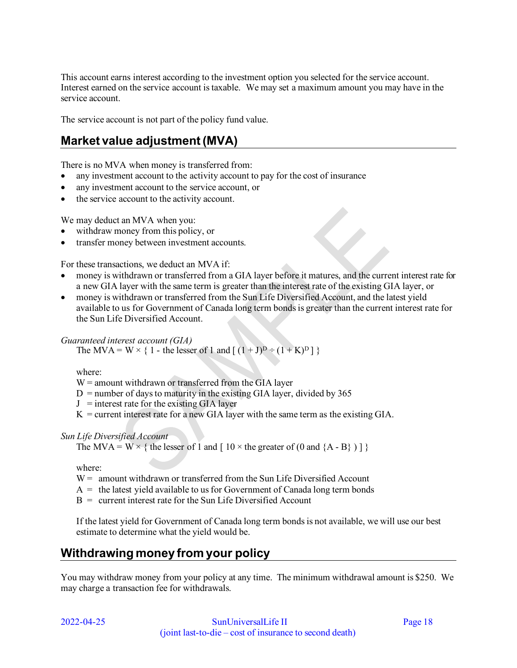This account earns interest according to the investment option you selected for the service account. Interest earned on the service account is taxable. We may set a maximum amount you may have in the service account.

The service account is not part of the policy fund value.

# <span id="page-17-0"></span>**Market value adjustment (MVA)**

There is no MVA when money is transferred from:

- any investment account to the activity account to pay for the cost of insurance
- any investment account to the service account, or
- the service account to the activity account.

We may deduct an MVA when you:

- withdraw money from this policy, or
- transfer money between investment accounts.

For these transactions, we deduct an MVA if:

- money is withdrawn or transferred from a GIA layer before it matures, and the current interest rate for a new GIA layer with the same term is greater than the interest rate of the existing GIA layer, or
- money is withdrawn or transferred from the Sun Life Diversified Account, and the latest yield available to us for Government of Canada long term bonds is greater than the current interest rate for the Sun Life Diversified Account.

#### *Guaranteed interest account (GIA)*

The MVA = W  $\times$  { 1 - the lesser of 1 and [  $(1 + J)^D \div (1 + K)^D$  ] }

where:

 $W =$  amount withdrawn or transferred from the GIA layer

- $D =$  number of days to maturity in the existing GIA layer, divided by 365
- $J =$  interest rate for the existing GIA layer
- $K =$  current interest rate for a new GIA layer with the same term as the existing GIA.

#### *Sun Life Diversified Account*

The MVA = W  $\times$  { the lesser of 1 and [ 10  $\times$  the greater of (0 and {A - B} ) ] }

where:

- $W =$  amount withdrawn or transferred from the Sun Life Diversified Account
- $A =$  the latest yield available to us for Government of Canada long term bonds
- $B =$  current interest rate for the Sun Life Diversified Account

If the latest yield for Government of Canada long term bonds is not available, we will use our best estimate to determine what the yield would be.

# <span id="page-17-1"></span>**Withdrawing money from your policy**

You may withdraw money from your policy at any time. The minimum withdrawal amount is \$250. We may charge a transaction fee for withdrawals.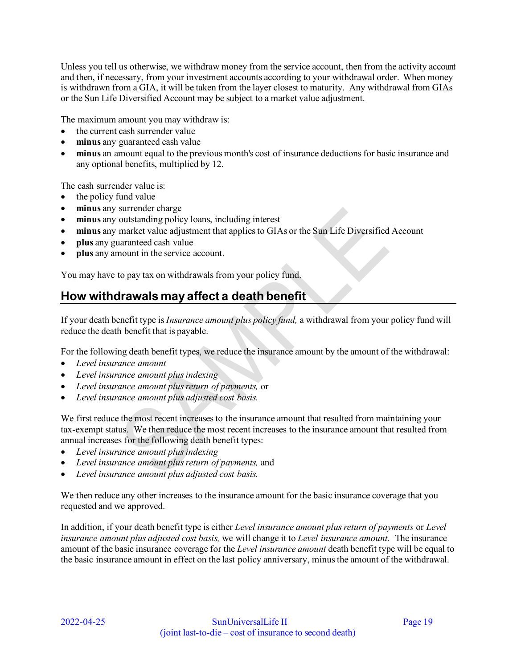Unless you tell us otherwise, we withdraw money from the service account, then from the activity account and then, if necessary, from your investment accounts according to your withdrawal order. When money is withdrawn from a GIA, it will be taken from the layer closest to maturity. Any withdrawal from GIAs or the Sun Life Diversified Account may be subject to a market value adjustment.

The maximum amount you may withdraw is:

- the current cash surrender value
- **minus** any guaranteed cash value
- **minus** an amount equal to the previous month's cost of insurance deductions for basic insurance and any optional benefits, multiplied by 12.

The cash surrender value is:

- the policy fund value
- **minus** any surrender charge
- **minus** any outstanding policy loans, including interest
- **minus** any market value adjustment that applies to GIAs or the Sun Life Diversified Account
- **plus** any guaranteed cash value
- **plus** any amount in the service account.

You may have to pay tax on withdrawals from your policy fund.

# <span id="page-18-0"></span>**How withdrawals may affect a death benefit**

If your death benefit type is *Insurance amount plus policy fund,* a withdrawal from your policy fund will reduce the death benefit that is payable.

For the following death benefit types, we reduce the insurance amount by the amount of the withdrawal:

- *Level insurance amount*
- *Level insurance amount plus indexing*
- *Level insurance amount plus return of payments,* or
- *Level insurance amount plus adjusted cost basis.*

We first reduce the most recent increases to the insurance amount that resulted from maintaining your tax-exempt status. We then reduce the most recent increases to the insurance amount that resulted from annual increases for the following death benefit types:

- *Level insurance amount plus indexing*
- *Level insurance amount plus return of payments,* and
- *Level insurance amount plus adjusted cost basis.*

We then reduce any other increases to the insurance amount for the basic insurance coverage that you requested and we approved.

In addition, if your death benefit type is either *Level insurance amount plus return of payments* or *Level insurance amount plus adjusted cost basis,* we will change it to *Level insurance amount.* The insurance amount of the basic insurance coverage for the *Level insurance amount* death benefit type will be equal to the basic insurance amount in effect on the last policy anniversary, minus the amount of the withdrawal.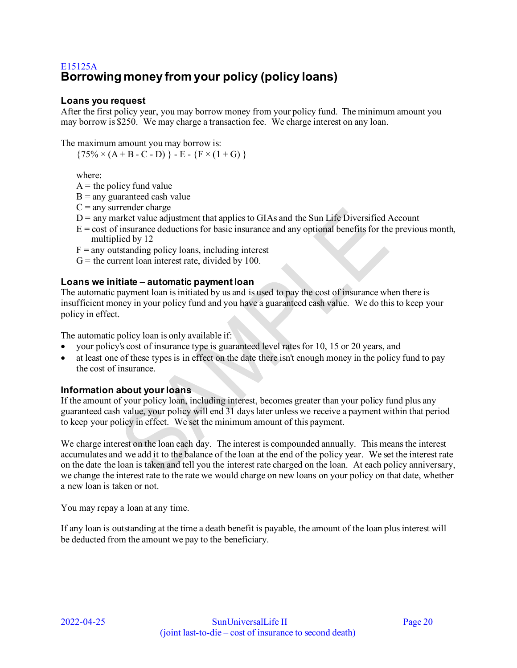#### <span id="page-19-0"></span>**Loans you request**

After the first policy year, you may borrow money from your policy fund. The minimum amount you may borrow is \$250. We may charge a transaction fee. We charge interest on any loan.

The maximum amount you may borrow is:

 $\{75\% \times (A + B - C - D) \} - E - \{F \times (1 + G) \}$ 

where:

 $A =$  the policy fund value

- $B =$ any guaranteed cash value
- $C =$  any surrender charge
- $D$  = any market value adjustment that applies to GIAs and the Sun Life Diversified Account
- $E = \text{cost of insurance deductions}$  for basic insurance and any optional benefits for the previous month, multiplied by 12
- $F =$  any outstanding policy loans, including interest
- $G =$  the current loan interest rate, divided by 100.

#### **Loans we initiate – automatic payment loan**

The automatic payment loan is initiated by us and is used to pay the cost of insurance when there is insufficient money in your policy fund and you have a guaranteed cash value. We do this to keep your policy in effect.

The automatic policy loan is only available if:

- your policy's cost of insurance type is guaranteed level rates for 10, 15 or 20 years, and
- at least one of these types is in effect on the date there isn't enough money in the policy fund to pay the cost of insurance.

#### **Information about your loans**

If the amount of your policy loan, including interest, becomes greater than your policy fund plus any guaranteed cash value, your policy will end 31 days later unless we receive a payment within that period to keep your policy in effect. We set the minimum amount of this payment.

We charge interest on the loan each day. The interest is compounded annually. This means the interest accumulates and we add it to the balance of the loan at the end of the policy year. We set the interest rate on the date the loan is taken and tell you the interest rate charged on the loan. At each policy anniversary, we change the interest rate to the rate we would charge on new loans on your policy on that date, whether a new loan is taken or not.

You may repay a loan at any time.

If any loan is outstanding at the time a death benefit is payable, the amount of the loan plus interest will be deducted from the amount we pay to the beneficiary.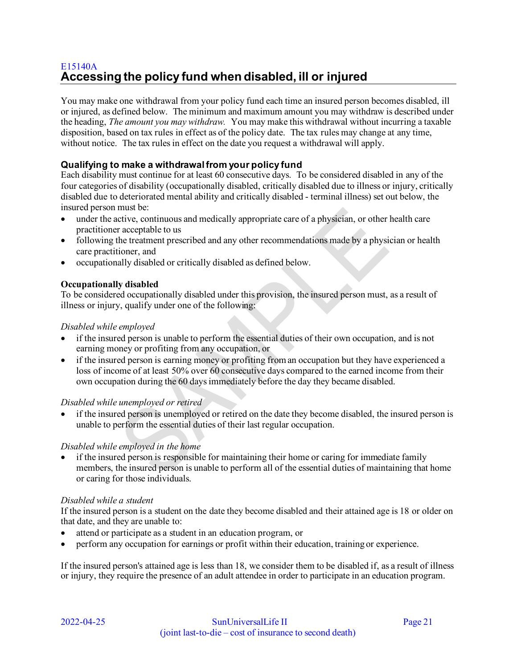# <span id="page-20-0"></span>E15140A **Accessing the policy fund when disabled, ill or injured**

You may make one withdrawal from your policy fund each time an insured person becomes disabled, ill or injured, as defined below. The minimum and maximum amount you may withdraw is described under the heading, *The amount you may withdraw.* You may make this withdrawal without incurring a taxable disposition, based on tax rules in effect as of the policy date. The tax rules may change at any time, without notice. The tax rules in effect on the date you request a withdrawal will apply.

#### **Qualifying to make a withdrawal from your policy fund**

Each disability must continue for at least 60 consecutive days. To be considered disabled in any of the four categories of disability (occupationally disabled, critically disabled due to illness or injury, critically disabled due to deteriorated mental ability and critically disabled - terminal illness) set out below, the insured person must be:

- under the active, continuous and medically appropriate care of a physician, or other health care practitioner acceptable to us
- following the treatment prescribed and any other recommendations made by a physician or health care practitioner, and
- occupationally disabled or critically disabled as defined below.

#### **Occupationally disabled**

To be considered occupationally disabled under this provision, the insured person must, as a result of illness or injury, qualify under one of the following:

#### *Disabled while employed*

- if the insured person is unable to perform the essential duties of their own occupation, and is not earning money or profiting from any occupation, or
- if the insured person is earning money or profiting from an occupation but they have experienced a loss of income of at least 50% over 60 consecutive days compared to the earned income from their own occupation during the 60 days immediately before the day they became disabled.

#### *Disabled while unemployed or retired*

• if the insured person is unemployed or retired on the date they become disabled, the insured person is unable to perform the essential duties of their last regular occupation.

#### *Disabled while employed in the home*

• if the insured person is responsible for maintaining their home or caring for immediate family members, the insured person is unable to perform all of the essential duties of maintaining that home or caring for those individuals.

#### *Disabled while a student*

If the insured person is a student on the date they become disabled and their attained age is 18 or older on that date, and they are unable to:

- attend or participate as a student in an education program, or
- perform any occupation for earnings or profit within their education, training or experience.

If the insured person's attained age is less than 18, we consider them to be disabled if, as a result of illness or injury, they require the presence of an adult attendee in order to participate in an education program.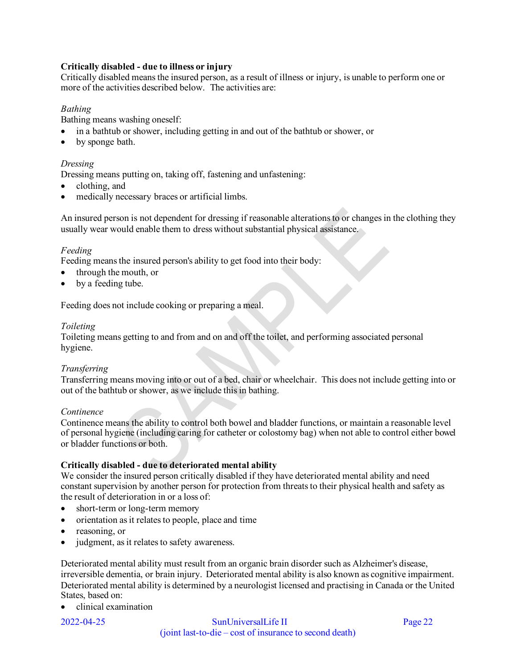#### **Critically disabled - due to illness or injury**

Critically disabled means the insured person, as a result of illness or injury, is unable to perform one or more of the activities described below. The activities are:

#### *Bathing*

Bathing means washing oneself:

- in a bathtub or shower, including getting in and out of the bathtub or shower, or
- by sponge bath.

#### *Dressing*

Dressing means putting on, taking off, fastening and unfastening:

- clothing, and
- medically necessary braces or artificial limbs.

An insured person is not dependent for dressing if reasonable alterations to or changes in the clothing they usually wear would enable them to dress without substantial physical assistance.

#### *Feeding*

Feeding means the insured person's ability to get food into their body:

- through the mouth, or
- by a feeding tube.

Feeding does not include cooking or preparing a meal.

#### *Toileting*

Toileting means getting to and from and on and off the toilet, and performing associated personal hygiene.

#### *Transferring*

Transferring means moving into or out of a bed, chair or wheelchair. This does not include getting into or out of the bathtub or shower, as we include this in bathing.

#### *Continence*

Continence means the ability to control both bowel and bladder functions, or maintain a reasonable level of personal hygiene (including caring for catheter or colostomy bag) when not able to control either bowel or bladder functions or both.

#### **Critically disabled - due to deteriorated mental ability**

We consider the insured person critically disabled if they have deteriorated mental ability and need constant supervision by another person for protection from threats to their physical health and safety as the result of deterioration in or a loss of:

- short-term or long-term memory
- orientation as it relates to people, place and time
- reasoning, or
- judgment, as it relates to safety awareness.

Deteriorated mental ability must result from an organic brain disorder such as Alzheimer's disease, irreversible dementia, or brain injury. Deteriorated mental ability is also known as cognitive impairment. Deteriorated mental ability is determined by a neurologist licensed and practising in Canada or the United States, based on:

• clinical examination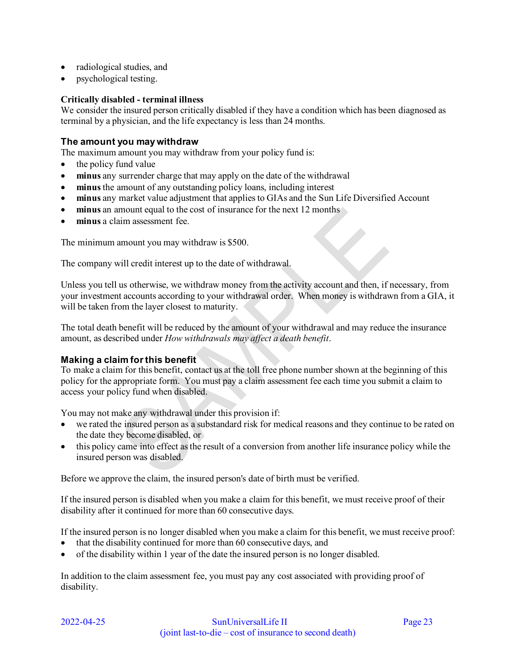- radiological studies, and
- psychological testing.

#### **Critically disabled - terminal illness**

We consider the insured person critically disabled if they have a condition which has been diagnosed as terminal by a physician, and the life expectancy is less than 24 months.

#### **The amount you may withdraw**

The maximum amount you may withdraw from your policy fund is:

- the policy fund value
- **minus** any surrender charge that may apply on the date of the withdrawal
- **minus** the amount of any outstanding policy loans, including interest
- **minus** any market value adjustment that applies to GIAs and the Sun Life Diversified Account
- **minus** an amount equal to the cost of insurance for the next 12 months
- **minus** a claim assessment fee.

The minimum amount you may withdraw is \$500.

The company will credit interest up to the date of withdrawal.

Unless you tell us otherwise, we withdraw money from the activity account and then, if necessary, from your investment accounts according to your withdrawal order. When money is withdrawn from a GIA, it will be taken from the layer closest to maturity.

**V** 

The total death benefit will be reduced by the amount of your withdrawal and may reduce the insurance amount, as described under *How withdrawals may affect a death benefit*.

#### **Making a claim for this benefit**

To make a claim for this benefit, contact us at the toll free phone number shown at the beginning of this policy for the appropriate form. You must pay a claim assessment fee each time you submit a claim to access your policy fund when disabled.

You may not make any withdrawal under this provision if:

- we rated the insured person as a substandard risk for medical reasons and they continue to be rated on the date they become disabled, or
- this policy came into effect as the result of a conversion from another life insurance policy while the insured person was disabled.

Before we approve the claim, the insured person's date of birth must be verified.

If the insured person is disabled when you make a claim for this benefit, we must receive proof of their disability after it continued for more than 60 consecutive days.

If the insured person is no longer disabled when you make a claim for this benefit, we must receive proof:

- that the disability continued for more than 60 consecutive days, and
- of the disability within 1 year of the date the insured person is no longer disabled.

In addition to the claim assessment fee, you must pay any cost associated with providing proof of disability.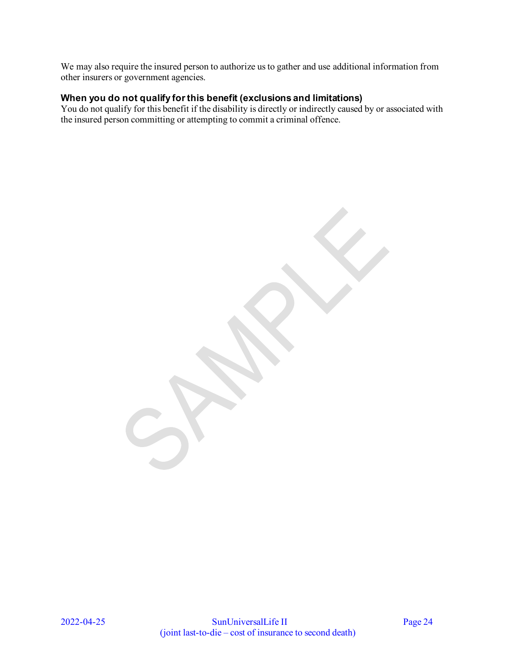We may also require the insured person to authorize us to gather and use additional information from other insurers or government agencies.

### **When you do not qualify for this benefit (exclusions and limitations)**

You do not qualify for this benefit if the disability is directly or indirectly caused by or associated with the insured person committing or attempting to commit a criminal offence.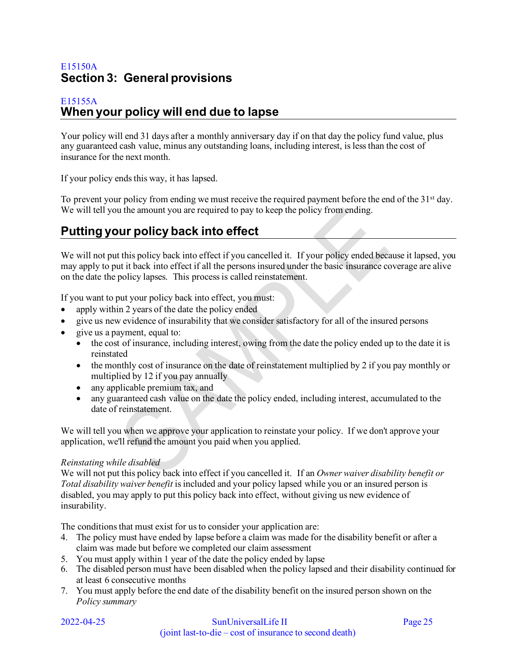# <span id="page-24-0"></span>E15150A **Section 3: General provisions**

#### <span id="page-24-1"></span>E15155A **When your policy will end due to lapse**

Your policy will end 31 days after a monthly anniversary day if on that day the policy fund value, plus any guaranteed cash value, minus any outstanding loans, including interest, is less than the cost of insurance for the next month.

If your policy ends this way, it has lapsed.

To prevent your policy from ending we must receive the required payment before the end of the 31<sup>st</sup> day. We will tell you the amount you are required to pay to keep the policy from ending.

# <span id="page-24-2"></span>**Putting your policy back into effect**

We will not put this policy back into effect if you cancelled it. If your policy ended because it lapsed, you may apply to put it back into effect if all the persons insured under the basic insurance coverage are alive on the date the policy lapses. This process is called reinstatement.

If you want to put your policy back into effect, you must:

- apply within 2 years of the date the policy ended
- give us new evidence of insurability that we consider satisfactory for all of the insured persons
- give us a payment, equal to:
	- the cost of insurance, including interest, owing from the date the policy ended up to the date it is reinstated
	- the monthly cost of insurance on the date of reinstatement multiplied by 2 if you pay monthly or multiplied by 12 if you pay annually
	- any applicable premium tax, and
	- any guaranteed cash value on the date the policy ended, including interest, accumulated to the date of reinstatement.

We will tell you when we approve your application to reinstate your policy. If we don't approve your application, we'll refund the amount you paid when you applied.

#### *Reinstating while disabled*

We will not put this policy back into effect if you cancelled it. If an *Owner waiver disability benefit or Total disability waiver benefit* is included and your policy lapsed while you or an insured person is disabled, you may apply to put this policy back into effect, without giving us new evidence of insurability.

The conditions that must exist for us to consider your application are:

- 4. The policy must have ended by lapse before a claim was made for the disability benefit or after a claim was made but before we completed our claim assessment
- 5. You must apply within 1 year of the date the policy ended by lapse
- 6. The disabled person must have been disabled when the policy lapsed and their disability continued for at least 6 consecutive months
- 7. You must apply before the end date of the disability benefit on the insured person shown on the *Policy summary*

|  | 2022-04-25 |
|--|------------|

#### SunUniversalLife II Page 25 (joint last-to-die – cost of insurance to second death)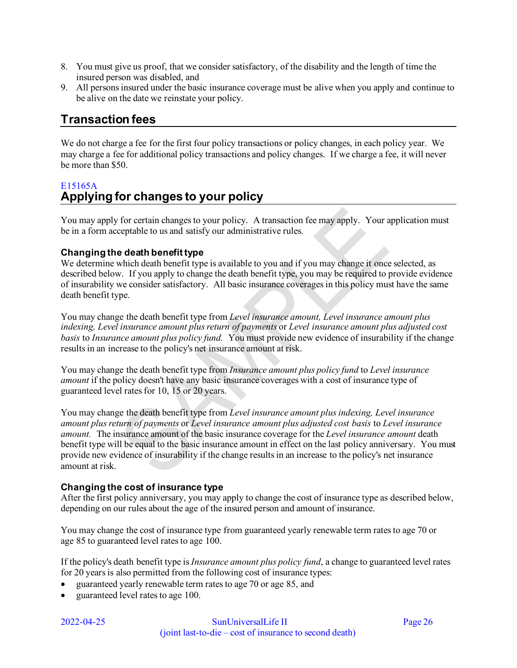- 8. You must give us proof, that we consider satisfactory, of the disability and the length of time the insured person was disabled, and
- 9. All persons insured under the basic insurance coverage must be alive when you apply and continue to be alive on the date we reinstate your policy.

# <span id="page-25-0"></span>**Transaction fees**

We do not charge a fee for the first four policy transactions or policy changes, in each policy year. We may charge a fee for additional policy transactions and policy changes. If we charge a fee, it will never be more than \$50.

# <span id="page-25-1"></span>E15165A **Applying for changes to your policy**

You may apply for certain changes to your policy. A transaction fee may apply. Your application must be in a form acceptable to us and satisfy our administrative rules.

### **Changing the death benefit type**

We determine which death benefit type is available to you and if you may change it once selected, as described below. If you apply to change the death benefit type, you may be required to provide evidence of insurability we consider satisfactory. All basic insurance coverages in this policy must have the same death benefit type.

You may change the death benefit type from *Level insurance amount, Level insurance amount plus indexing, Level insurance amount plus return of payments* or *Level insurance amount plus adjusted cost basis* to *Insurance amount plus policy fund.* You must provide new evidence of insurability if the change results in an increase to the policy's net insurance amount at risk.

You may change the death benefit type from *Insurance amount plus policy fund* to *Level insurance amount* if the policy doesn't have any basic insurance coverages with a cost of insurance type of guaranteed level rates for 10, 15 or 20 years.

You may change the death benefit type from *Level insurance amount plus indexing, Level insurance amount plus return of payments* or *Level insurance amount plus adjusted cost basis* to *Level insurance amount.* The insurance amount of the basic insurance coverage for the *Level insurance amount* death benefit type will be equal to the basic insurance amount in effect on the last policy anniversary. You must provide new evidence of insurability if the change results in an increase to the policy's net insurance amount at risk.

#### **Changing the cost of insurance type**

After the first policy anniversary, you may apply to change the cost of insurance type as described below, depending on our rules about the age of the insured person and amount of insurance.

You may change the cost of insurance type from guaranteed yearly renewable term rates to age 70 or age 85 to guaranteed level rates to age 100.

If the policy's death benefit type is *Insurance amount plus policy fund*, a change to guaranteed level rates for 20 years is also permitted from the following cost of insurance types:

- guaranteed yearly renewable term rates to age 70 or age 85, and
- guaranteed level rates to age 100.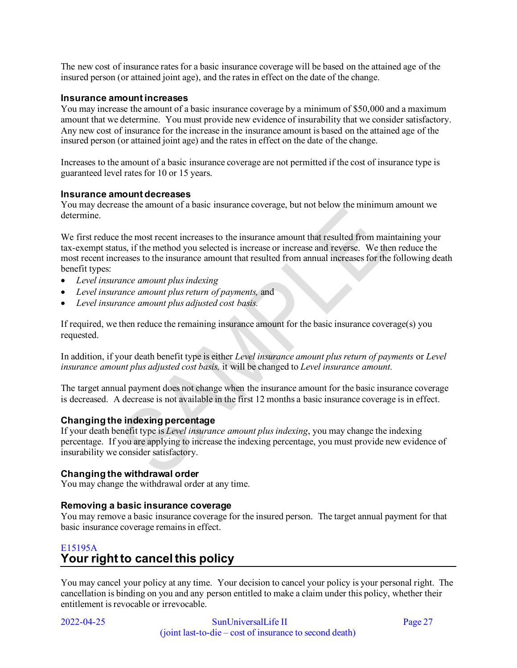The new cost of insurance rates for a basic insurance coverage will be based on the attained age of the insured person (or attained joint age), and the rates in effect on the date of the change.

#### **Insurance amount increases**

You may increase the amount of a basic insurance coverage by a minimum of \$50,000 and a maximum amount that we determine. You must provide new evidence of insurability that we consider satisfactory. Any new cost of insurance for the increase in the insurance amount is based on the attained age of the insured person (or attained joint age) and the rates in effect on the date of the change.

Increases to the amount of a basic insurance coverage are not permitted if the cost of insurance type is guaranteed level rates for 10 or 15 years.

#### **Insurance amount decreases**

You may decrease the amount of a basic insurance coverage, but not below the minimum amount we determine.

We first reduce the most recent increases to the insurance amount that resulted from maintaining your tax-exempt status, if the method you selected is increase or increase and reverse. We then reduce the most recent increases to the insurance amount that resulted from annual increases for the following death benefit types:

- *Level insurance amount plus indexing*
- *Level insurance amount plus return of payments,* and
- *Level insurance amount plus adjusted cost basis.*

If required, we then reduce the remaining insurance amount for the basic insurance coverage(s) you requested.

In addition, if your death benefit type is either *Level insurance amount plus return of payments* or *Level insurance amount plus adjusted cost basis,* it will be changed to *Level insurance amount.* 

The target annual payment does not change when the insurance amount for the basic insurance coverage is decreased. A decrease is not available in the first 12 months a basic insurance coverage is in effect.

#### **Changing the indexing percentage**

If your death benefit type is *Level insurance amount plus indexing*, you may change the indexing percentage. If you are applying to increase the indexing percentage, you must provide new evidence of insurability we consider satisfactory.

#### **Changing the withdrawal order**

You may change the withdrawal order at any time.

#### **Removing a basic insurance coverage**

You may remove a basic insurance coverage for the insured person. The target annual payment for that basic insurance coverage remains in effect.

# <span id="page-26-0"></span>E15195A **Your right to cancel this policy**

You may cancel your policy at any time. Your decision to cancel your policy is your personal right. The cancellation is binding on you and any person entitled to make a claim under this policy, whether their entitlement is revocable or irrevocable.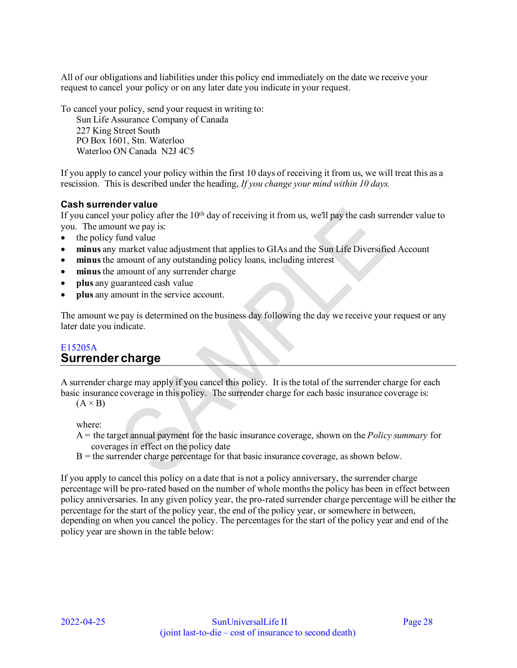All of our obligations and liabilities under this policy end immediately on the date we receive your request to cancel your policy or on any later date you indicate in your request.

To cancel your policy, send your request in writing to:

Sun Life Assurance Company of Canada 227 King Street South PO Box 1601, Stn. Waterloo Waterloo ON Canada N2J 4C5

If you apply to cancel your policy within the first 10 days of receiving it from us, we will treat this as a rescission. This is described under the heading, *If you change your mind within 10 days.* 

### **Cash surrender value**

If you cancel your policy after the  $10<sup>th</sup>$  day of receiving it from us, we'll pay the cash surrender value to you. The amount we pay is:

- the policy fund value
- **minus** any market value adjustment that applies to GIAs and the Sun Life Diversified Account
- **minus** the amount of any outstanding policy loans, including interest
- minus the amount of any surrender charge
- **plus** any guaranteed cash value
- **plus** any amount in the service account.

The amount we pay is determined on the business day following the day we receive your request or any later date you indicate.

# <span id="page-27-0"></span>E15205A **Surrender charge**

A surrender charge may apply if you cancel this policy. It is the total of the surrender charge for each basic insurance coverage in this policy. The surrender charge for each basic insurance coverage is:

 $(A \times B)$ 

where:

- A = the target annual payment for the basic insurance coverage, shown on the *Policy summary* for coverages in effect on the policy date
- $B =$  the surrender charge percentage for that basic insurance coverage, as shown below.

If you apply to cancel this policy on a date that is not a policy anniversary, the surrender charge percentage will be pro-rated based on the number of whole months the policy has been in effect between policy anniversaries. In any given policy year, the pro-rated surrender charge percentage will be either the percentage for the start of the policy year, the end of the policy year, or somewhere in between, depending on when you cancel the policy. The percentages for the start of the policy year and end of the policy year are shown in the table below: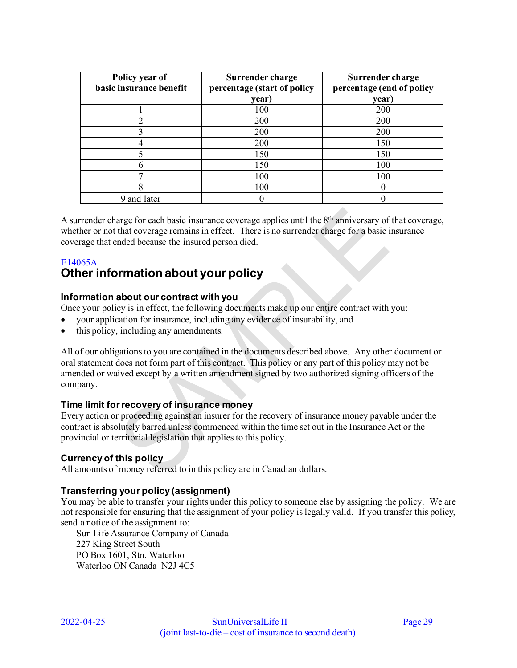| Policy year of<br>basic insurance benefit | Surrender charge<br>percentage (start of policy | Surrender charge<br>percentage (end of policy |
|-------------------------------------------|-------------------------------------------------|-----------------------------------------------|
|                                           | year)                                           | year)                                         |
|                                           | 100                                             | 200                                           |
|                                           | 200                                             | 200                                           |
|                                           | 200                                             | 200                                           |
|                                           | 200                                             | 150                                           |
|                                           | 150                                             | 150                                           |
|                                           | 150                                             | 100                                           |
|                                           | 100                                             | 100                                           |
|                                           | 100                                             |                                               |
| 9 and later                               |                                                 |                                               |

A surrender charge for each basic insurance coverage applies until the  $8<sup>th</sup>$  anniversary of that coverage, whether or not that coverage remains in effect. There is no surrender charge for a basic insurance coverage that ended because the insured person died.

# <span id="page-28-0"></span>E14065A **Other information about your policy**

### **Information about our contract with you**

Once your policy is in effect, the following documents make up our entire contract with you:

- your application for insurance, including any evidence of insurability, and
- this policy, including any amendments.

All of our obligations to you are contained in the documents described above. Any other document or oral statement does not form part of this contract. This policy or any part of this policy may not be amended or waived except by a written amendment signed by two authorized signing officers of the company.

#### **Time limit for recovery of insurance money**

Every action or proceeding against an insurer for the recovery of insurance money payable under the contract is absolutely barred unless commenced within the time set out in the Insurance Act or the provincial or territorial legislation that applies to this policy.

#### **Currency of this policy**

All amounts of money referred to in this policy are in Canadian dollars.

#### **Transferring your policy (assignment)**

You may be able to transfer your rights under this policy to someone else by assigning the policy. We are not responsible for ensuring that the assignment of your policy is legally valid. If you transfer this policy, send a notice of the assignment to:

Sun Life Assurance Company of Canada 227 King Street South PO Box 1601, Stn. Waterloo Waterloo ON Canada N2J 4C5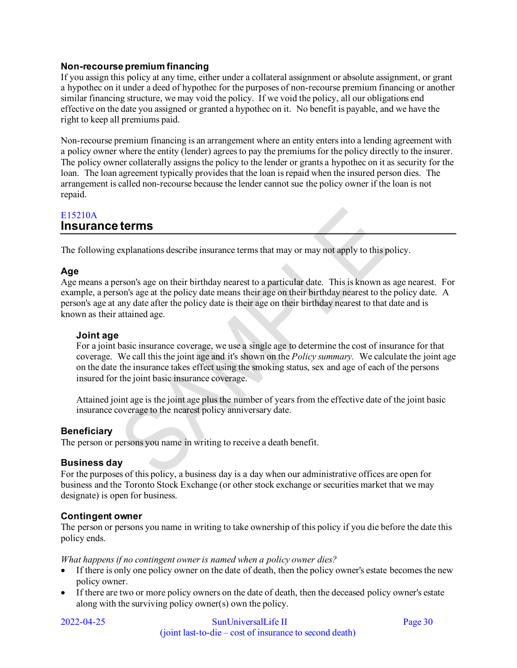#### **Non-recourse premium financing**

If you assign this policy at any time, either under a collateral assignment or absolute assignment, or grant a hypothec on it under a deed of hypothec for the purposes of non-recourse premium financing or another similar financing structure, we may void the policy. If we void the policy, all our obligations end effective on the date you assigned or granted a hypothec on it. No benefit is payable, and we have the right to keep all premiums paid.

Non-recourse premium financing is an arrangement where an entity enters into a lending agreement with a policy owner where the entity (lender) agrees to pay the premiums for the policy directly to the insurer. The policy owner collaterally assigns the policy to the lender or grants a hypothec on it as security for the loan. The loan agreement typically provides that the loan is repaid when the insured person dies. The arrangement is called non-recourse because the lender cannot sue the policy owner if the loan is not repaid.

# <span id="page-29-0"></span>E15210A **Insurance terms**

The following explanations describe insurance terms that may or may not apply to this policy.

### **Age**

Age means a person's age on their birthday nearest to a particular date. This is known as age nearest. For example, a person's age at the policy date means their age on their birthday nearest to the policy date. A person's age at any date after the policy date is their age on their birthday nearest to that date and is known as their attained age.

#### **Joint age**

For a joint basic insurance coverage, we use a single age to determine the cost of insurance for that coverage. We call this the joint age and it's shown on the *Policy summary.* We calculate the joint age on the date the insurance takes effect using the smoking status, sex and age of each of the persons insured for the joint basic insurance coverage.

Attained joint age is the joint age plus the number of years from the effective date of the joint basic insurance coverage to the nearest policy anniversary date.

#### **Beneficiary**

The person or persons you name in writing to receive a death benefit.

#### **Business day**

For the purposes of this policy, a business day is a day when our administrative offices are open for business and the Toronto Stock Exchange (or other stock exchange or securities market that we may designate) is open for business.

#### **Contingent owner**

The person or persons you name in writing to take ownership of this policy if you die before the date this policy ends.

*What happens if no contingent owner is named when a policy owner dies?* 

- If there is only one policy owner on the date of death, then the policy owner's estate becomes the new policy owner.
- If there are two or more policy owners on the date of death, then the deceased policy owner's estate along with the surviving policy owner(s) own the policy.

#### 2022-04-25 SunUniversalLife II Page 30 (joint last-to-die – cost of insurance to second death)